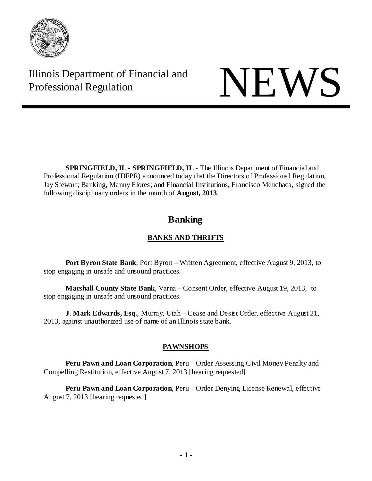

Illinois Department of Financial and Illinois Department of Financial and<br>Professional Regulation

**SPRINGFIELD, IL** - **SPRINGFIELD, IL** - The Illinois Department of Financial and Professional Regulation (IDFPR) announced today that the Directors of Professional Regulation, Jay Stewart; Banking, Manny Flores; and Financial Institutions, Francisco Menchaca, signed the following disciplinary orders in the month of **August, 2013**.

# **Banking**

# **BANKS AND THRIFTS**

**Port Byron State Bank**, Port Byron – Written Agreement, effective August 9, 2013, to stop engaging in unsafe and unsound practices.

**Marshall County State Bank**, Varna – Consent Order, effective August 19, 2013, to stop engaging in unsafe and unsound practices.

**J. Mark Edwards, Esq.**, Murray, Utah – Cease and Desist Order, effective August 21, 2013, against unauthorized use of name of an Illinois state bank.

# **PAWNSHOPS**

**Peru Pawn and Loan Corporation**, Peru – Order Assessing Civil Money Penalty and Compelling Restitution, effective August 7, 2013 [hearing requested]

**Peru Pawn and Loan Corporation**, Peru – Order Denying License Renewal, effective August 7, 2013 [hearing requested]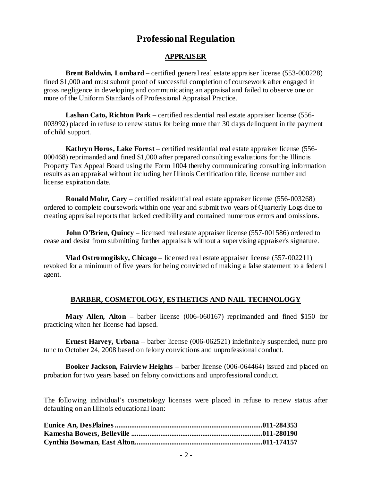# **Professional Regulation**

## **APPRAISER**

**Brent Baldwin, Lombard** – certified general real estate appraiser license (553-000228) fined \$1,000 and must submit proof of successful completion of coursework after engaged in gross negligence in developing and communicating an appraisal and failed to observe one or more of the Uniform Standards of Professional Appraisal Practice.

**Lashan Cato, Richton Park** – certified residential real estate appraiser license (556- 003992) placed in refuse to renew status for being more than 30 days delinquent in the payment of child support.

**Kathryn Horos, Lake Forest** – certified residential real estate appraiser license (556- 000468) reprimanded and fined \$1,000 after prepared consulting evaluations for the Illinois Property Tax Appeal Board using the Form 1004 thereby communicating consulting information results as an appraisal without including her Illinois Certification title, license number and license expiration date.

**Ronald Mohr, Cary** – certified residential real estate appraiser license (556-003268) ordered to complete coursework within one year and submit two years of Quarterly Logs due to creating appraisal reports that lacked credibility and contained numerous errors and omissions.

**John O'Brien, Quincy** – licensed real estate appraiser license (557-001586) ordered to cease and desist from submitting further appraisals without a supervising appraiser's signature.

**Vlad Ostromogilsky, Chicago** – licensed real estate appraiser license (557-002211) revoked for a minimum of five years for being convicted of making a false statement to a federal agent.

## **BARBER, COSMETOLOGY, ESTHETICS AND NAIL TECHNOLOGY**

**Mary Allen, Alton** – barber license (006-060167) reprimanded and fined \$150 for practicing when her license had lapsed.

**Ernest Harvey, Urbana** – barber license (006-062521) indefinitely suspended, nunc pro tunc to October 24, 2008 based on felony convictions and unprofessional conduct.

**Booker Jackson, Fairview Heights** – barber license (006-064464) issued and placed on probation for two years based on felony convictions and unprofessional conduct.

The following individual's cosmetology licenses were placed in refuse to renew status after defaulting on an Illinois educational loan: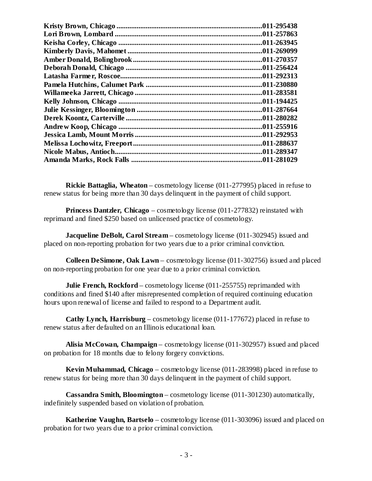| .011-295438 |
|-------------|
| .011-257863 |
| .011-263945 |
| .011-269099 |
| .011-270357 |
| .011-256424 |
| .011-292313 |
| .011-230880 |
| .011-283581 |
| .011-194425 |
| .011-287664 |
| .011-280282 |
| .011-255916 |
| .011-292953 |
| .011-288637 |
| .011-289347 |
| .011-281029 |

**Rickie Battaglia, Wheaton** – cosmetology license (011-277995) placed in refuse to renew status for being more than 30 days delinquent in the payment of child support.

**Princess Dantzler, Chicago** – cosmetology license (011-277832) reinstated with reprimand and fined \$250 based on unlicensed practice of cosmetology.

**Jacqueline DeBolt, Carol Stream** – cosmetology license (011-302945) issued and placed on non-reporting probation for two years due to a prior criminal conviction.

**Colleen DeSimone, Oak Lawn** – cosmetology license (011-302756) issued and placed on non-reporting probation for one year due to a prior criminal conviction.

**Julie French, Rockford** – cosmetology license (011-255755) reprimanded with conditions and fined \$140 after misrepresented completion of required continuing education hours upon renewal of license and failed to respond to a Department audit.

**Cathy Lynch, Harrisburg** – cosmetology license (011-177672) placed in refuse to renew status after defaulted on an Illinois educational loan.

**Alisia McCowan, Champaign** – cosmetology license (011-302957) issued and placed on probation for 18 months due to felony forgery convictions.

**Kevin Muhammad, Chicago** – cosmetology license (011-283998) placed in refuse to renew status for being more than 30 days delinquent in the payment of child support.

**Cassandra Smith, Bloomington** – cosmetology license (011-301230) automatically, indefinitely suspended based on violation of probation.

**Katherine Vaughn, Bartselo** – cosmetology license (011-303096) issued and placed on probation for two years due to a prior criminal conviction.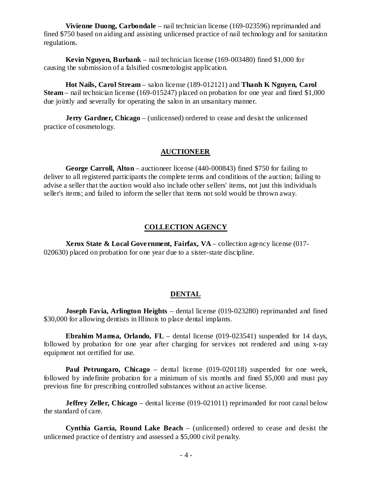**Vivienne Duong, Carbondale** – nail technician license (169-023596) reprimanded and fined \$750 based on aiding and assisting unlicensed practice of nail technology and for sanitation regulations.

**Kevin Nguyen, Burbank** – nail technician license (169-003480) fined \$1,000 for causing the submission of a falsified cosmetologist application.

**Hot Nails, Carol Stream** – salon license (189-012121) and **Thanh K Nguyen, Carol Steam** – nail technician license (169-015247) placed on probation for one year and fined \$1,000 due jointly and severally for operating the salon in an unsanitary manner.

**Jerry Gardner, Chicago** – (unlicensed) ordered to cease and desist the unlicensed practice of cosmetology.

#### **AUCTIONEER**

**George Carroll, Alton** – auctioneer license (440-000843) fined \$750 for failing to deliver to all registered participants the complete terms and conditions of the auction; failing to advise a seller that the auction would also include other sellers' items, not just this individuals seller's items; and failed to inform the seller that items not sold would be thrown away.

#### **COLLECTION AGENCY**

**Xerox State & Local Government, Fairfax, VA** – collection agency license (017- 020630) placed on probation for one year due to a sister-state discipline.

## **DENTAL**

**Joseph Favia, Arlington Heights** – dental license (019-023280) reprimanded and fined \$30,000 for allowing dentists in Illinois to place dental implants.

**Ebrahim Mamsa, Orlando, FL** – dental license (019-023541) suspended for 14 days, followed by probation for one year after charging for services not rendered and using x-ray equipment not certified for use.

**Paul Petrungaro, Chicago** – dental license (019-020118) suspended for one week, followed by indefinite probation for a minimum of six months and fined \$5,000 and must pay previous fine for prescribing controlled substances without an active license.

**Jeffrey Zeller, Chicago** – dental license (019-021011) reprimanded for root canal below the standard of care.

**Cynthia Garcia, Round Lake Beach** – (unlicensed) ordered to cease and desist the unlicensed practice of dentistry and assessed a \$5,000 civil penalty.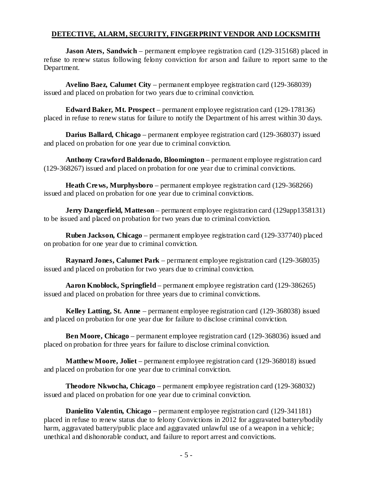## **DETECTIVE, ALARM, SECURITY, FINGERPRINT VENDOR AND LOCKSMITH**

**Jason Aters, Sandwich** – permanent employee registration card (129-315168) placed in refuse to renew status following felony conviction for arson and failure to report same to the Department.

**Avelino Baez, Calumet City** – permanent employee registration card (129-368039) issued and placed on probation for two years due to criminal conviction.

**Edward Baker, Mt. Prospect** – permanent employee registration card (129-178136) placed in refuse to renew status for failure to notify the Department of his arrest within 30 days.

**Darius Ballard, Chicago** – permanent employee registration card (129-368037) issued and placed on probation for one year due to criminal conviction.

**Anthony Crawford Baldonado, Bloomington** – permanent employee registration card (129-368267) issued and placed on probation for one year due to criminal convictions.

**Heath Crews, Murphysboro** – permanent employee registration card (129-368266) issued and placed on probation for one year due to criminal convictions.

**Jerry Dangerfield, Matteson** – permanent employee registration card (129app1358131) to be issued and placed on probation for two years due to criminal conviction.

**Ruben Jackson, Chicago** – permanent employee registration card (129-337740) placed on probation for one year due to criminal conviction.

**Raynard Jones, Calumet Park** – permanent employee registration card (129-368035) issued and placed on probation for two years due to criminal conviction.

**Aaron Knoblock, Springfield** – permanent employee registration card (129-386265) issued and placed on probation for three years due to criminal convictions.

**Kelley Latting, St. Anne** – permanent employee registration card (129-368038) issued and placed on probation for one year due for failure to disclose criminal conviction.

**Ben Moore, Chicago** – permanent employee registration card (129-368036) issued and placed on probation for three years for failure to disclose criminal conviction.

**Matthew Moore, Joliet** – permanent employee registration card (129-368018) issued and placed on probation for one year due to criminal conviction.

**Theodore Nkwocha, Chicago** – permanent employee registration card (129-368032) issued and placed on probation for one year due to criminal conviction.

**Danielito Valentin, Chicago** – permanent employee registration card (129-341181) placed in refuse to renew status due to felony Convictions in 2012 for aggravated battery/bodily harm, aggravated battery/public place and aggravated unlawful use of a weapon in a vehicle; unethical and dishonorable conduct, and failure to report arrest and convictions.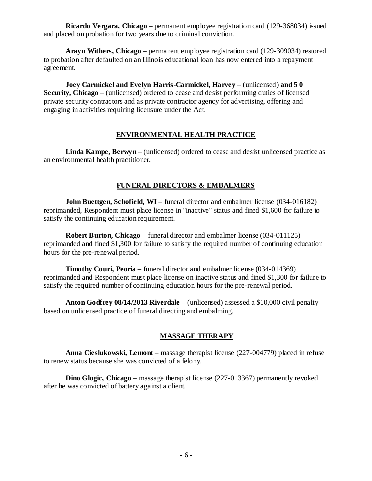**Ricardo Vergara, Chicago** – permanent employee registration card (129-368034) issued and placed on probation for two years due to criminal conviction.

**Arayn Withers, Chicago** – permanent employee registration card (129-309034) restored to probation after defaulted on an Illinois educational loan has now entered into a repayment agreement.

**Joey Carmickel and Evelyn Harris-Carmickel, Harvey** – (unlicensed) **and 5 0 Security, Chicago** – (unlicensed) ordered to cease and desist performing duties of licensed private security contractors and as private contractor agency for advertising, offering and engaging in activities requiring licensure under the Act.

# **ENVIRONMENTAL HEALTH PRACTICE**

**Linda Kampe, Berwyn** – (unlicensed) ordered to cease and desist unlicensed practice as an environmental health practitioner.

# **FUNERAL DIRECTORS & EMBALMERS**

**John Buettgen, Schofield, WI** – funeral director and embalmer license (034-016182) reprimanded, Respondent must place license in "inactive" status and fined \$1,600 for failure to satisfy the continuing education requirement.

**Robert Burton, Chicago** – funeral director and embalmer license (034-011125) reprimanded and fined \$1,300 for failure to satisfy the required number of continuing education hours for the pre-renewal period.

**Timothy Couri, Peoria** – funeral director and embalmer license (034-014369) reprimanded and Respondent must place license on inactive status and fined \$1,300 for failure to satisfy the required number of continuing education hours for the pre-renewal period.

**Anton Godfrey 08/14/2013 Riverdale** – (unlicensed) assessed a \$10,000 civil penalty based on unlicensed practice of funeral directing and embalming.

# **MASSAGE THERAPY**

**Anna Cieslukowski, Lemont** – massage therapist license (227-004779) placed in refuse to renew status because she was convicted of a felony.

**Dino Glogic, Chicago** – massage therapist license (227-013367) permanently revoked after he was convicted of battery against a client.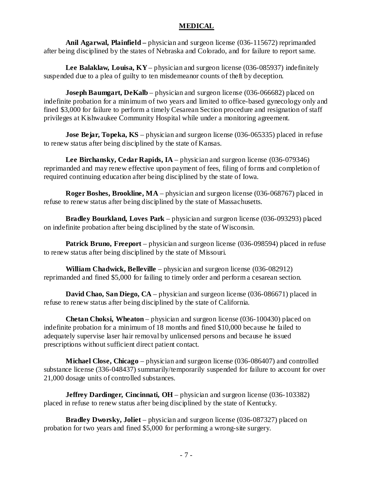#### **MEDICAL**

**Anil Agarwal, Plainfield –** physician and surgeon license (036-115672) reprimanded after being disciplined by the states of Nebraska and Colorado, and for failure to report same.

**Lee Balaklaw, Louisa, KY** – physician and surgeon license (036-085937) indefinitely suspended due to a plea of guilty to ten misdemeanor counts of theft by deception.

**Joseph Baumgart, DeKalb** – physician and surgeon license (036-066682) placed on indefinite probation for a minimum of two years and limited to office-based gynecology only and fined \$3,000 for failure to perform a timely Cesarean Section procedure and resignation of staff privileges at Kishwaukee Community Hospital while under a monitoring agreement.

**Jose Bejar, Topeka, KS** – physician and surgeon license (036-065335) placed in refuse to renew status after being disciplined by the state of Kansas.

**Lee Birchansky, Cedar Rapids, IA** – physician and surgeon license (036-079346) reprimanded and may renew effective upon payment of fees, filing of forms and completion of required continuing education after being disciplined by the state of Iowa.

**Roger Boshes, Brookline, MA** – physician and surgeon license (036-068767) placed in refuse to renew status after being disciplined by the state of Massachusetts.

**Bradley Bourkland, Loves Park** – physician and surgeon license (036-093293) placed on indefinite probation after being disciplined by the state of Wisconsin.

**Patrick Bruno, Freeport** – physician and surgeon license (036-098594) placed in refuse to renew status after being disciplined by the state of Missouri.

**William Chadwick, Belleville** – physician and surgeon license (036-082912) reprimanded and fined \$5,000 for failing to timely order and perform a cesarean section.

**David Chao, San Diego, CA** – physician and surgeon license (036-086671) placed in refuse to renew status after being disciplined by the state of California.

**Chetan Choksi, Wheaton** – physician and surgeon license (036-100430) placed on indefinite probation for a minimum of 18 months and fined \$10,000 because he failed to adequately supervise laser hair removal by unlicensed persons and because he issued prescriptions without sufficient direct patient contact.

**Michael Close, Chicago** – physician and surgeon license (036-086407) and controlled substance license (336-048437) summarily/temporarily suspended for failure to account for over 21,000 dosage units of controlled substances.

**Jeffrey Dardinger, Cincinnati, OH** – physician and surgeon license (036-103382) placed in refuse to renew status after being disciplined by the state of Kentucky.

**Bradley Dworsky, Joliet** – physician and surgeon license (036-087327) placed on probation for two years and fined \$5,000 for performing a wrong-site surgery.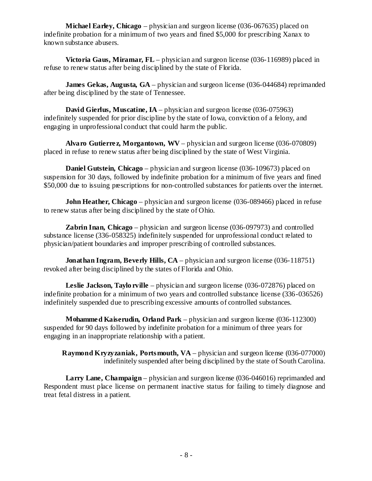**Michael Earley, Chicago** – physician and surgeon license (036-067635) placed on indefinite probation for a minimum of two years and fined \$5,000 for prescribing Xanax to known substance abusers.

**Victoria Gaus, Miramar, FL** – physician and surgeon license (036-116989) placed in refuse to renew status after being disciplined by the state of Florida.

**James Gekas, Augusta, GA** – physician and surgeon license (036-044684) reprimanded after being disciplined by the state of Tennessee.

**David Gierlus, Muscatine, IA** – physician and surgeon license (036-075963) indefinitely suspended for prior discipline by the state of Iowa, conviction of a felony, and engaging in unprofessional conduct that could harm the public.

**Alvaro Gutierre z, Morgantown, WV** – physician and surgeon license (036-070809) placed in refuse to renew status after being disciplined by the state of West Virginia.

**Daniel Gutstein, Chicago** – physician and surgeon license (036-109673) placed on suspension for 30 days, followed by indefinite probation for a minimum of five years and fined \$50,000 due to issuing prescriptions for non-controlled substances for patients over the internet.

**John Heather, Chicago** – physician and surgeon license (036-089466) placed in refuse to renew status after being disciplined by the state of Ohio.

**Zabrin Inan, Chicago** – physician and surgeon license (036-097973) and controlled substance license (336-058325) indefinitely suspended for unprofessional conduct related to physician/patient boundaries and improper prescribing of controlled substances.

**Jonathan Ingram, Beverly Hills, CA** – physician and surgeon license (036-118751) revoked after being disciplined by the states of Florida and Ohio.

**Leslie Jackson, Taylo rville** – physician and surgeon license (036-072876) placed on indefinite probation for a minimum of two years and controlled substance license (336-036526) indefinitely suspended due to prescribing excessive amounts of controlled substances.

**Mohammed Kaiserudin, Orland Park** – physician and surgeon license (036-112300) suspended for 90 days followed by indefinite probation for a minimum of three years for engaging in an inappropriate relationship with a patient.

**Raymond Kryzyzaniak, Portsmouth, VA** – physician and surgeon license (036-077000) indefinitely suspended after being disciplined by the state of South Carolina.

**Larry Lane, Champaign** – physician and surgeon license (036-046016) reprimanded and Respondent must place license on permanent inactive status for failing to timely diagnose and treat fetal distress in a patient.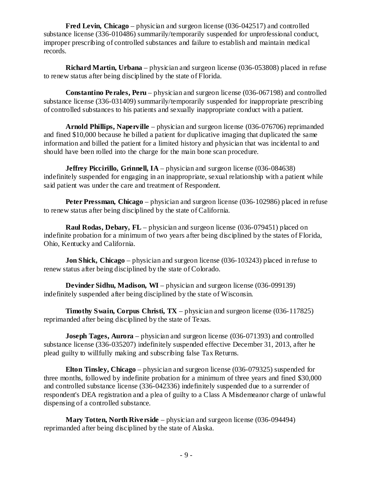**Fred Levin, Chicago** – physician and surgeon license (036-042517) and controlled substance license (336-010486) summarily/temporarily suspended for unprofessional conduct, improper prescribing of controlled substances and failure to establish and maintain medical records.

**Richard Martin, Urbana** – physician and surgeon license (036-053808) placed in refuse to renew status after being disciplined by the state of Florida.

**Constantino Perales, Peru** – physician and surgeon license (036-067198) and controlled substance license (336-031409) summarily/temporarily suspended for inappropriate prescribing of controlled substances to his patients and sexually inappropriate conduct with a patient.

**Arnold Phillips, Naperville** – physician and surgeon license (036-076706) reprimanded and fined \$10,000 because he billed a patient for duplicative imaging that duplicated the same information and billed the patient for a limited history and physician that was incidental to and should have been rolled into the charge for the main bone scan procedure.

**Jeffrey Piccirillo, Grinnell, IA** – physician and surgeon license (036-084638) indefinitely suspended for engaging in an inappropriate, sexual relationship with a patient while said patient was under the care and treatment of Respondent.

**Peter Pressman, Chicago** – physician and surgeon license (036-102986) placed in refuse to renew status after being disciplined by the state of California.

**Raul Rodas, Debary, FL** – physician and surgeon license (036-079451) placed on indefinite probation for a minimum of two years after being disciplined by the states of Florida, Ohio, Kentucky and California.

**Jon Shick, Chicago** – physician and surgeon license (036-103243) placed in refuse to renew status after being disciplined by the state of Colorado.

**Devinder Sidhu, Madison, WI** – physician and surgeon license (036-099139) indefinitely suspended after being disciplined by the state of Wisconsin.

**Timothy Swain, Corpus Christi, TX** – physician and surgeon license (036-117825) reprimanded after being disciplined by the state of Texas.

**Joseph Tages, Aurora** – physician and surgeon license (036-071393) and controlled substance license (336-035207) indefinitely suspended effective December 31, 2013, after he plead guilty to willfully making and subscribing false Tax Returns.

**Elton Tinsley, Chicago** – physician and surgeon license (036-079325) suspended for three months, followed by indefinite probation for a minimum of three years and fined \$30,000 and controlled substance license (336-042336) indefinitely suspended due to a surrender of respondent's DEA registration and a plea of guilty to a Class A Misdemeanor charge of unlawful dispensing of a controlled substance.

**Mary Totten, North Riverside** – physician and surgeon license (036-094494) reprimanded after being disciplined by the state of Alaska.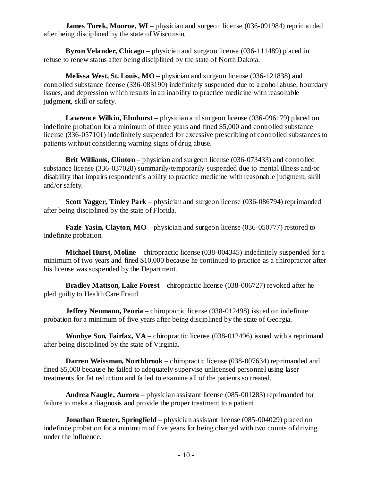**James Turek, Monroe, WI** – physician and surgeon license (036-091984) reprimanded after being disciplined by the state of Wisconsin.

**Byron Velander, Chicago** – physician and surgeon license (036-111489) placed in refuse to renew status after being disciplined by the state of North Dakota.

**Melissa West, St. Louis, MO** – physician and surgeon license (036-121838) and controlled substance license (336-083190) indefinitely suspended due to alcohol abuse, boundary issues, and depression which results in an inability to practice medicine with reasonable judgment, skill or safety.

**Lawrence Wilkin, Elmhurst** – physician and surgeon license (036-096179) placed on indefinite probation for a minimum of three years and fined \$5,000 and controlled substance license (336-057101) indefinitely suspended for excessive prescribing of controlled substances to patients without considering warning signs of drug abuse.

**Brit Williams, Clinton** – physician and surgeon license (036-073433) and controlled substance license (336-037028) summarily/temporarily suspended due to mental illness and/or disability that impairs respondent's ability to practice medicine with reasonable judgment, skill and/or safety.

**Scott Yagger, Tinley Park** – physician and surgeon license (036-086794) reprimanded after being disciplined by the state of Florida.

**Fazle Yasin, Clayton, MO** – physician and surgeon license (036-050777) restored to indefinite probation.

**Michael Hurst, Moline** – chiropractic license (038-004345) indefinitely suspended for a minimum of two years and fined \$10,000 because he continued to practice as a chiropractor after his license was suspended by the Department.

**Bradley Mattson, Lake Forest** – chiropractic license (038-006727) revoked after he pled guilty to Health Care Fraud.

**Jeffrey Neumann, Peoria** – chiropractic license (038-012498) issued on indefinite probation for a minimum of five years after being disciplined by the state of Georgia.

**Wonhye Son, Fairfax, VA** – chiropractic license (038-012496) issued with a reprimand after being disciplined by the state of Virginia.

**Darren Weissman, Northbrook** – chiropractic license (038-007634) reprimanded and fined \$5,000 because he failed to adequately supervise unlicensed personnel using laser treatments for fat reduction and failed to examine all of the patients so treated.

**Andrea Naugle, Aurora** – physician assistant license (085-001283) reprimanded for failure to make a diagnosis and provide the proper treatment to a patient.

**Jonathan Rueter, Springfield** – physician assistant license (085-004029) placed on indefinite probation for a minimum of five years for being charged with two counts of driving under the influence.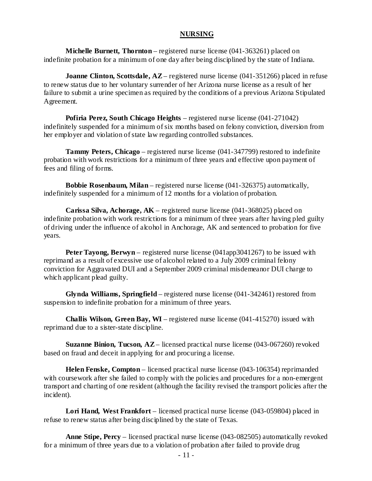#### **NURSING**

**Michelle Burnett, Thornton** – registered nurse license (041-363261) placed on indefinite probation for a minimum of one day after being disciplined by the state of Indiana.

**Joanne Clinton, Scottsdale, AZ** – registered nurse license (041-351266) placed in refuse to renew status due to her voluntary surrender of her Arizona nurse license as a result of her failure to submit a urine specimen as required by the conditions of a previous Arizona Stipulated Agreement.

**Pofiria Perez, South Chicago Heights** – registered nurse license (041-271042) indefinitely suspended for a minimum of six months based on felony conviction, diversion from her employer and violation of state law regarding controlled substances.

**Tammy Peters, Chicago** – registered nurse license (041-347799) restored to indefinite probation with work restrictions for a minimum of three years and effective upon payment of fees and filing of forms.

**Bobbie Rosenbaum, Milan** – registered nurse license (041-326375) automatically, indefinitely suspended for a minimum of 12 months for a violation of probation.

**Carissa Silva, Achorage, AK** – registered nurse license (041-368025) placed on indefinite probation with work restrictions for a minimum of three years after having pled guilty of driving under the influence of alcohol in Anchorage, AK and sentenced to probation for five years.

**Peter Tayong, Berwyn** – registered nurse license (041app3041267) to be issued with reprimand as a result of excessive use of alcohol related to a July 2009 criminal felony conviction for Aggravated DUI and a September 2009 criminal misdemeanor DUI charge to which applicant plead guilty.

**Glynda Williams, Springfield** – registered nurse license (041-342461) restored from suspension to indefinite probation for a minimum of three years.

**Challis Wilson, Green Bay, WI** – registered nurse license (041-415270) issued with reprimand due to a sister-state discipline.

**Suzanne Binion, Tucson, AZ** – licensed practical nurse license (043-067260) revoked based on fraud and deceit in applying for and procuring a license.

**Helen Fenske, Compton** – licensed practical nurse license (043-106354) reprimanded with course work after she failed to comply with the policies and procedures for a non-emergent transport and charting of one resident (although the facility revised the transport policies after the incident).

**Lori Hand, West Frankfort** – licensed practical nurse license (043-059804) placed in refuse to renew status after being disciplined by the state of Texas.

**Anne Stipe, Percy** – licensed practical nurse license (043-082505) automatically revoked for a minimum of three years due to a violation of probation after failed to provide drug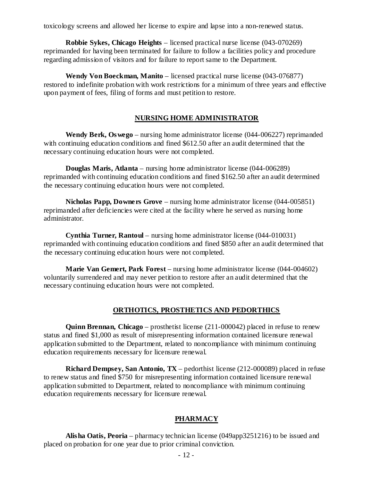toxicology screens and allowed her license to expire and lapse into a non-renewed status.

**Robbie Sykes, Chicago Heights** – licensed practical nurse license (043-070269) reprimanded for having been terminated for failure to follow a facilities policy and procedure regarding admission of visitors and for failure to report same to the Department.

**Wendy Von Boeckman, Manito** – licensed practical nurse license (043-076877) restored to indefinite probation with work restrictions for a minimum of three years and effective upon payment of fees, filing of forms and must petition to restore.

#### **NURSING HOME ADMINISTRATOR**

**Wendy Berk, Oswego** – nursing home administrator license (044-006227) reprimanded with continuing education conditions and fined \$612.50 after an audit determined that the necessary continuing education hours were not completed.

**Douglas Maris, Atlanta** – nursing home administrator license (044-006289) reprimanded with continuing education conditions and fined \$162.50 after an audit determined the necessary continuing education hours were not completed.

**Nicholas Papp, Downers Grove** – nursing home administrator license (044-005851) reprimanded after deficiencies were cited at the facility where he served as nursing home administrator.

**Cynthia Turner, Rantoul** – nursing home administrator license (044-010031) reprimanded with continuing education conditions and fined \$850 after an audit determined that the necessary continuing education hours were not completed.

**Marie Van Gemert, Park Forest** – nursing home administrator license (044-004602) voluntarily surrendered and may never petition to restore after an audit determined that the necessary continuing education hours were not completed.

## **ORTHOTICS, PROSTHETICS AND PEDORTHICS**

**Quinn Brennan, Chicago** – prosthetist license (211-000042) placed in refuse to renew status and fined \$1,000 as result of misrepresenting information contained licensure renewal application submitted to the Department, related to noncompliance with minimum continuing education requirements necessary for licensure renewal.

**Richard Dempsey, San Antonio, TX** – pedorthist license (212-000089) placed in refuse to renew status and fined \$750 for misrepresenting information contained licensure renewal application submitted to Department, related to noncompliance with minimum continuing education requirements necessary for licensure renewal.

#### **PHARMACY**

**Alisha Oatis, Peoria** – pharmacy technician license (049app3251216) to be issued and placed on probation for one year due to prior criminal conviction.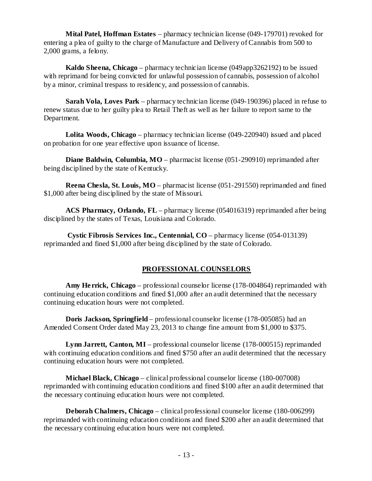**Mital Patel, Hoffman Estates** – pharmacy technician license (049-179701) revoked for entering a plea of guilty to the charge of Manufacture and Delivery of Cannabis from 500 to 2,000 grams, a felony.

**Kaldo Sheena, Chicago** – pharmacy technician license (049app3262192) to be issued with reprimand for being convicted for unlawful possession of cannabis, possession of alcohol by a minor, criminal trespass to residency, and possession of cannabis.

**Sarah Vola, Loves Park** – pharmacy technician license (049-190396) placed in refuse to renew status due to her guilty plea to Retail Theft as well as her failure to report same to the Department.

**Lolita Woods, Chicago** – pharmacy technician license (049-220940) issued and placed on probation for one year effective upon issuance of license.

**Diane Baldwin, Columbia, MO** – pharmacist license (051-290910) reprimanded after being disciplined by the state of Kentucky.

**Reena Chesla, St. Louis, MO** – pharmacist license (051-291550) reprimanded and fined \$1,000 after being disciplined by the state of Missouri.

**ACS Pharmacy, Orlando, FL** – pharmacy license (054016319) reprimanded after being disciplined by the states of Texas, Louisiana and Colorado.

**Cystic Fibrosis Services Inc., Centennial, CO** – pharmacy license (054-013139) reprimanded and fined \$1,000 after being disciplined by the state of Colorado.

# **PROFESSIONAL COUNSELORS**

**Amy Herrick, Chicago** – professional counselor license (178-004864) reprimanded with continuing education conditions and fined \$1,000 after an audit determined that the necessary continuing education hours were not completed.

**Doris Jackson, Springfield** – professional counselor license (178-005085) had an Amended Consent Order dated May 23, 2013 to change fine amount from \$1,000 to \$375.

**Lynn Jarrett, Canton, MI** – professional counselor license (178-000515) reprimanded with continuing education conditions and fined \$750 after an audit determined that the necessary continuing education hours were not completed.

**Michael Black, Chicago** – clinical professional counselor license (180-007008) reprimanded with continuing education conditions and fined \$100 after an audit determined that the necessary continuing education hours were not completed.

**Deborah Chalmers, Chicago** – clinical professional counselor license (180-006299) reprimanded with continuing education conditions and fined \$200 after an audit determined that the necessary continuing education hours were not completed.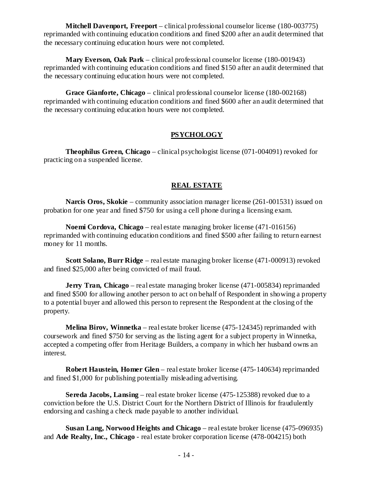**Mitchell Davenport, Freeport** – clinical professional counselor license (180-003775) reprimanded with continuing education conditions and fined \$200 after an audit determined that the necessary continuing education hours were not completed.

**Mary Everson, Oak Park** – clinical professional counselor license (180-001943) reprimanded with continuing education conditions and fined \$150 after an audit determined that the necessary continuing education hours were not completed.

**Grace Gianforte, Chicago** – clinical professional counselor license (180-002168) reprimanded with continuing education conditions and fined \$600 after an audit determined that the necessary continuing education hours were not completed.

# **PSYCHOLOGY**

**Theophilus Green, Chicago** – clinical psychologist license (071-004091) revoked for practicing on a suspended license.

# **REAL ESTATE**

**Narcis Oros, Skokie** – community association manager license (261-001531) issued on probation for one year and fined \$750 for using a cell phone during a licensing exam.

**Noemi Cordova, Chicago** – real estate managing broker license (471-016156) reprimanded with continuing education conditions and fined \$500 after failing to return earnest money for 11 months.

**Scott Solano, Burr Ridge** – real estate managing broker license (471-000913) revoked and fined \$25,000 after being convicted of mail fraud.

**Jerry Tran, Chicago** – real estate managing broker license (471-005834) reprimanded and fined \$500 for allowing another person to act on behalf of Respondent in showing a property to a potential buyer and allowed this person to represent the Respondent at the closing of the property.

**Melina Birov, Winnetka** – real estate broker license (475-124345) reprimanded with coursework and fined \$750 for serving as the listing agent for a subject property in Winnetka, accepted a competing offer from Heritage Builders, a company in which her husband owns an interest.

**Robert Haustein, Homer Glen** – real estate broker license (475-140634) reprimanded and fined \$1,000 for publishing potentially misleading advertising.

**Sereda Jacobs, Lansing** – real estate broker license (475-125388) revoked due to a conviction before the U.S. District Court for the Northern District of Illinois for fraudulently endorsing and cashing a check made payable to another individual.

**Susan Lang, Norwood Heights and Chicago** – real estate broker license (475-096935) and **Ade Realty, Inc., Chicago** - real estate broker corporation license (478-004215) both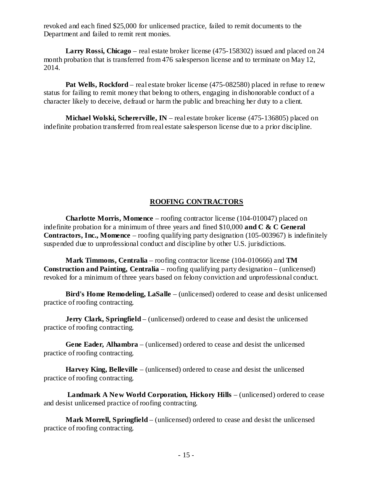revoked and each fined \$25,000 for unlicensed practice, failed to remit documents to the Department and failed to remit rent monies.

**Larry Rossi, Chicago** – real estate broker license (475-158302) issued and placed on 24 month probation that is transferred from 476 salesperson license and to terminate on May 12, 2014.

**Pat Wells, Rockford** – real estate broker license (475-082580) placed in refuse to renew status for failing to remit money that belong to others, engaging in dishonorable conduct of a character likely to deceive, defraud or harm the public and breaching her duty to a client.

**Michael Wolski, Schererville, IN** – real estate broker license (475-136805) placed on indefinite probation transferred from real estate salesperson license due to a prior discipline.

# **ROOFING CONTRACTORS**

**Charlotte Morris, Momence** – roofing contractor license (104-010047) placed on indefinite probation for a minimum of three years and fined \$10,000 **and C & C General Contractors, Inc., Momence** – roofing qualifying party designation (105-003967) is indefinitely suspended due to unprofessional conduct and discipline by other U.S. jurisdictions.

**Mark Timmons, Centralia** – roofing contractor license (104-010666) and **TM Construction and Painting, Centralia** – roofing qualifying party designation – (unlicensed) revoked for a minimum of three years based on felony conviction and unprofessional conduct.

**Bird's Home Remodeling, LaSalle** – (unlicensed) ordered to cease and desist unlicensed practice of roofing contracting.

**Jerry Clark, Springfield** – (unlicensed) ordered to cease and desist the unlicensed practice of roofing contracting.

**Gene Eader, Alhambra** – (unlicensed) ordered to cease and desist the unlicensed practice of roofing contracting.

**Harvey King, Belleville** – (unlicensed) ordered to cease and desist the unlicensed practice of roofing contracting.

**Landmark A New World Corporation, Hickory Hills** – (unlicensed) ordered to cease and desist unlicensed practice of roofing contracting.

**Mark Morrell, Springfield** – (unlicensed) ordered to cease and desist the unlicensed practice of roofing contracting.